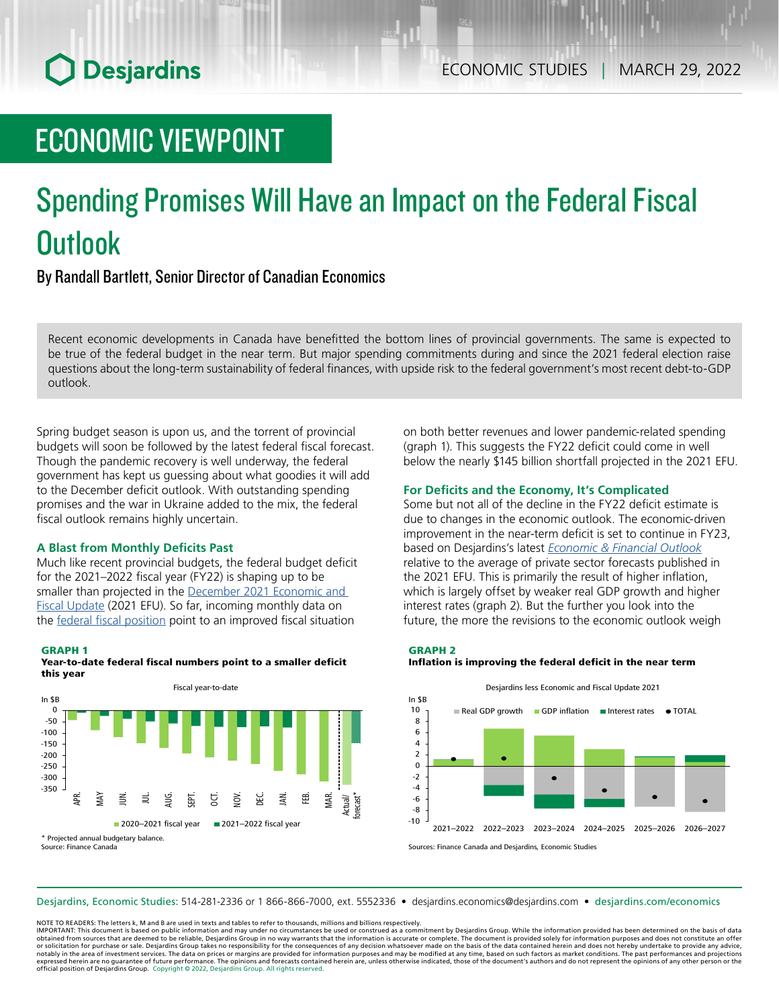# **O** Desjardins

# ECONOMIC VIEWPOINT

# Spending Promises Will Have an Impact on the Federal Fiscal **Outlook**

By Randall Bartlett, Senior Director of Canadian Economics

Recent economic developments in Canada have benefitted the bottom lines of provincial governments. The same is expected to be true of the federal budget in the near term. But major spending commitments during and since the 2021 federal election raise questions about the long-term sustainability of federal finances, with upside risk to the federal government's most recent debt-to-GDP outlook.

Spring budget season is upon us, and the torrent of provincial budgets will soon be followed by the latest federal fiscal forecast. Though the pandemic recovery is well underway, the federal government has kept us guessing about what goodies it will add to the December deficit outlook. With outstanding spending promises and the war in Ukraine added to the mix, the federal fiscal outlook remains highly uncertain.

### **A Blast from Monthly Deficits Past**

Much like recent provincial budgets, the federal budget deficit for the 2021–2022 fiscal year (FY22) is shaping up to be smaller than projected in the December 2021 Economic and Fiscal [Update](https://budget.gc.ca/efu-meb/2021/report-rapport/EFU-MEB-2021-EN.pdf) (2021 EFU). So far, incoming monthly data on the federal fiscal [position](https://www.canada.ca/en/department-finance/services/publications/fiscal-monitor/2022/01.html) point to an improved fiscal situation

### GRAPH 1





on both better revenues and lower pandemic-related spending (graph 1). This suggests the FY22 deficit could come in well below the nearly \$145 billion shortfall projected in the 2021 EFU.

### **For Deficits and the Economy, It's Complicated**

Some but not all of the decline in the FY22 deficit estimate is due to changes in the economic outlook. The economic-driven improvement in the near-term deficit is set to continue in FY23, based on Desjardins's latest *[Economic](https://www.desjardins.com/ressources/pdf/peft2203-e.pdf?resVer=1647610834000) & Financial Outlook* relative to the average of private sector forecasts published in the 2021 EFU. This is primarily the result of higher inflation, which is largely offset by weaker real GDP growth and higher interest rates (graph 2). But the further you look into the future, the more the revisions to the economic outlook weigh

GRAPH 2

### Inflation is improving the federal deficit in the near term



Sources: Finance Canada and Desjardins, Economic Studies

Desjardins, Economic Studies: 514‑281‑2336 or 1 866‑866‑7000, ext. 5552336 • desjardins.economics@desjardins.com • [desjardins.com/economics](http://desjardins.com/economics)

NOTE TO READERS: The letters k, M and B are used in texts and tables to refer to thousands, millions and billions respectively.

IMPORTANT: This document is based on public information and may under no circumstances be used or construed as a commitment by Desjardins Group. While the information provided has been determined on the basis of data obtained from sources that are deemed to be reliable, Desjardins Group in no way warrants that the information is accurate or complete. The document is provided solely for information purposes and does not constitute an of notably in the area of investment services. The data on prices or margins are provided for information purposes and may be modified at any time, based on such factors as market conditions. The past performances and project expressed herein are no guarantee of future performance. The opinions and forecasts contained herein are, unless otherwise indicated, those of the document's authors and do not represent the opinions of any other person or